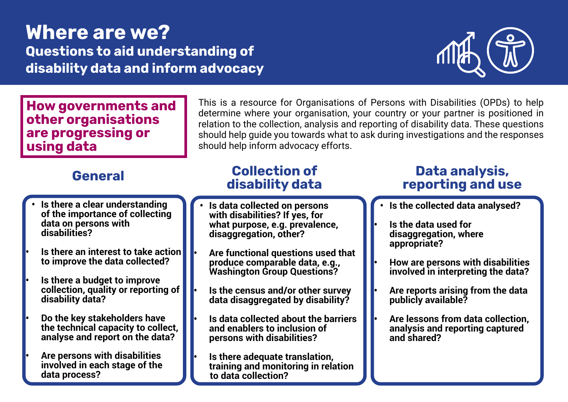# Where are we? Questions to aid understanding of disability data and inform advocacy



How governments and other organisations are progressing or using data

## General

- **• Is there a clear understanding of the importance of collecting data on persons with disabilities?**
- **• Is there an interest to take action to improve the data collected?**
- **• Is there a budget to improve collection, quality or reporting of disability data?**
- **• Do the key stakeholders have the technical capacity to collect, analyse and report on the data?**
- **• Are persons with disabilities involved in each stage of the data process?**

This is a resource for Organisations of Persons with Disabilities (OPDs) to help determine where your organisation, your country or your partner is positioned in relation to the collection, analysis and reporting of disability data. These questions should help guide you towards what to ask during investigations and the responses should help inform advocacy efforts.

## Collection of disability data

- **• Is data collected on persons with disabilities? If yes, for what purpose, e.g. prevalence, disaggregation, other?**
- **• Are functional questions used that produce comparable data, e.g., Washington Group Questions?**
- **• Is the census and/or other survey data disaggregated by disability?**
- **• Is data collected about the barriers and enablers to inclusion of persons with disabilities?**

**• Is there adequate translation, training and monitoring in relation to data collection?** 

## Data analysis, reporting and use

- **• Is the collected data analysed?**
- **• Is the data used for disaggregation, where appropriate?**
- **• How are persons with disabilities involved in interpreting the data?**
- **• Are reports arising from the data publicly available?**
- **• Are lessons from data collection, analysis and reporting captured and shared?**